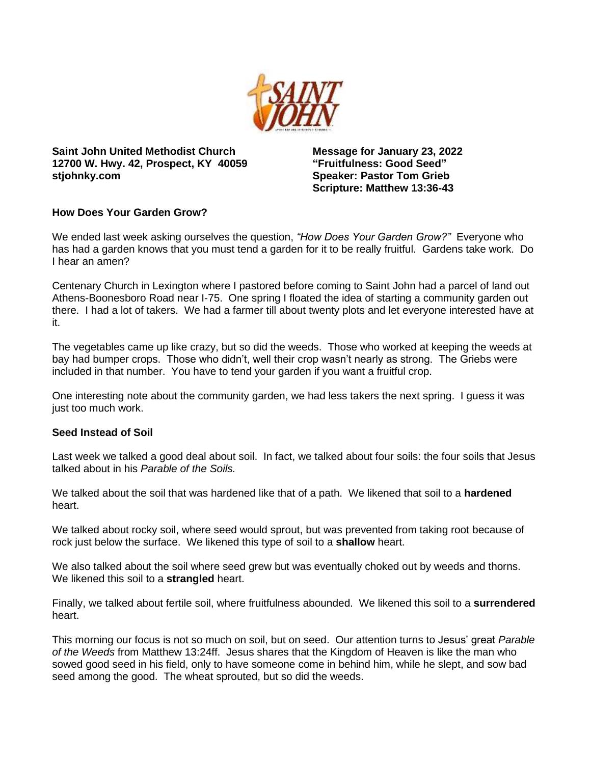

**Saint John United Methodist Church 12700 W. Hwy. 42, Prospect, KY 40059 stjohnky.com**

**Message for January 23, 2022 "Fruitfulness: Good Seed" Speaker: Pastor Tom Grieb Scripture: Matthew 13:36-43**

# **How Does Your Garden Grow?**

We ended last week asking ourselves the question, *"How Does Your Garden Grow?"* Everyone who has had a garden knows that you must tend a garden for it to be really fruitful. Gardens take work. Do I hear an amen?

Centenary Church in Lexington where I pastored before coming to Saint John had a parcel of land out Athens-Boonesboro Road near I-75. One spring I floated the idea of starting a community garden out there. I had a lot of takers. We had a farmer till about twenty plots and let everyone interested have at it.

The vegetables came up like crazy, but so did the weeds. Those who worked at keeping the weeds at bay had bumper crops. Those who didn't, well their crop wasn't nearly as strong. The Griebs were included in that number. You have to tend your garden if you want a fruitful crop.

One interesting note about the community garden, we had less takers the next spring. I guess it was just too much work.

## **Seed Instead of Soil**

Last week we talked a good deal about soil. In fact, we talked about four soils: the four soils that Jesus talked about in his *Parable of the Soils.*

We talked about the soil that was hardened like that of a path. We likened that soil to a **hardened** heart.

We talked about rocky soil, where seed would sprout, but was prevented from taking root because of rock just below the surface. We likened this type of soil to a **shallow** heart.

We also talked about the soil where seed grew but was eventually choked out by weeds and thorns. We likened this soil to a **strangled** heart.

Finally, we talked about fertile soil, where fruitfulness abounded. We likened this soil to a **surrendered** heart.

This morning our focus is not so much on soil, but on seed. Our attention turns to Jesus' great *Parable of the Weeds* from Matthew 13:24ff. Jesus shares that the Kingdom of Heaven is like the man who sowed good seed in his field, only to have someone come in behind him, while he slept, and sow bad seed among the good. The wheat sprouted, but so did the weeds.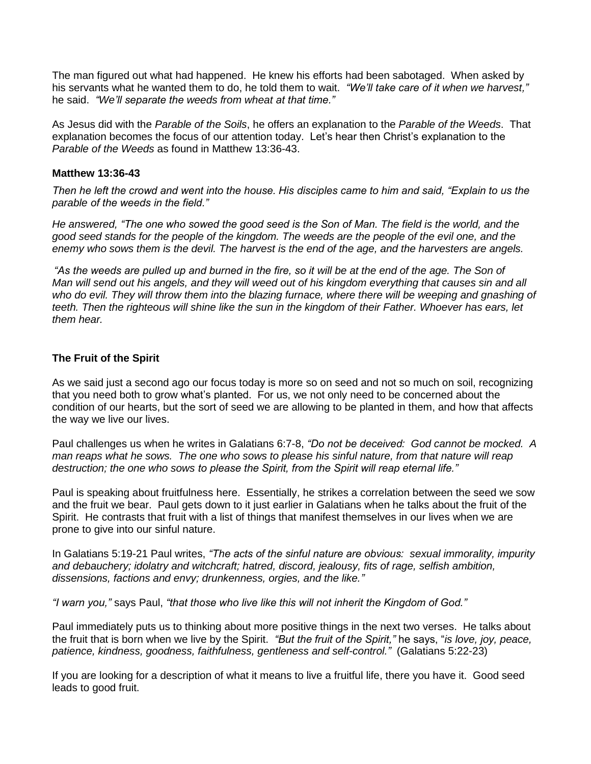The man figured out what had happened. He knew his efforts had been sabotaged. When asked by his servants what he wanted them to do, he told them to wait. *"We'll take care of it when we harvest,"* he said. *"We'll separate the weeds from wheat at that time."* 

As Jesus did with the *Parable of the Soils*, he offers an explanation to the *Parable of the Weeds*. That explanation becomes the focus of our attention today. Let's hear then Christ's explanation to the *Parable of the Weeds* as found in Matthew 13:36-43.

### **Matthew 13:36-43**

*Then he left the crowd and went into the house. His disciples came to him and said, "Explain to us the parable of the weeds in the field."*

*He answered, "The one who sowed the good seed is the Son of Man. The field is the world, and the good seed stands for the people of the kingdom. The weeds are the people of the evil one, and the enemy who sows them is the devil. The harvest is the end of the age, and the harvesters are angels.*

*"As the weeds are pulled up and burned in the fire, so it will be at the end of the age. The Son of Man will send out his angels, and they will weed out of his kingdom everything that causes sin and all who do evil. They will throw them into the blazing furnace, where there will be weeping and gnashing of teeth. Then the righteous will shine like the sun in the kingdom of their Father. Whoever has ears, let them hear.*

# **The Fruit of the Spirit**

As we said just a second ago our focus today is more so on seed and not so much on soil, recognizing that you need both to grow what's planted. For us, we not only need to be concerned about the condition of our hearts, but the sort of seed we are allowing to be planted in them, and how that affects the way we live our lives.

Paul challenges us when he writes in Galatians 6:7-8, *"Do not be deceived: God cannot be mocked. A man reaps what he sows. The one who sows to please his sinful nature, from that nature will reap destruction; the one who sows to please the Spirit, from the Spirit will reap eternal life."*

Paul is speaking about fruitfulness here. Essentially, he strikes a correlation between the seed we sow and the fruit we bear. Paul gets down to it just earlier in Galatians when he talks about the fruit of the Spirit. He contrasts that fruit with a list of things that manifest themselves in our lives when we are prone to give into our sinful nature.

In Galatians 5:19-21 Paul writes, *"The acts of the sinful nature are obvious: sexual immorality, impurity and debauchery; idolatry and witchcraft; hatred, discord, jealousy, fits of rage, selfish ambition, dissensions, factions and envy; drunkenness, orgies, and the like."*

*"I warn you,"* says Paul, *"that those who live like this will not inherit the Kingdom of God."*

Paul immediately puts us to thinking about more positive things in the next two verses. He talks about the fruit that is born when we live by the Spirit. *"But the fruit of the Spirit,"* he says, "*is love, joy, peace, patience, kindness, goodness, faithfulness, gentleness and self-control."* (Galatians 5:22-23)

If you are looking for a description of what it means to live a fruitful life, there you have it. Good seed leads to good fruit.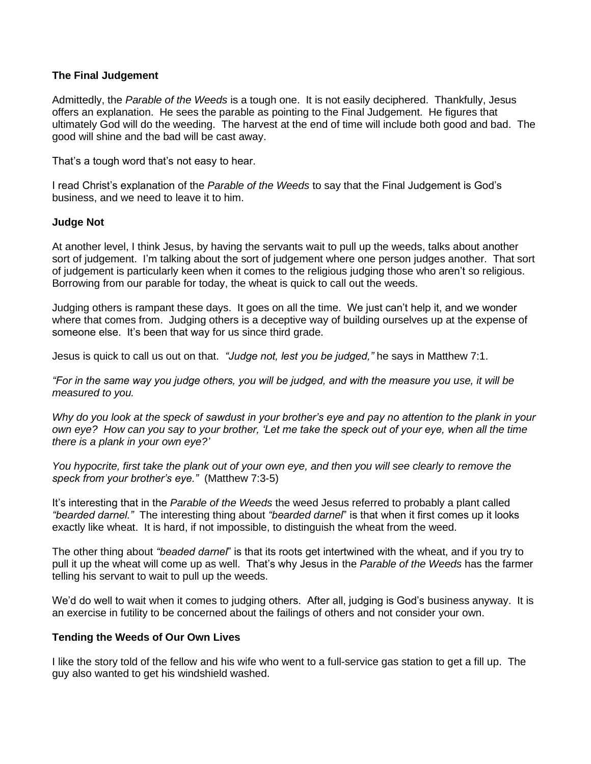### **The Final Judgement**

Admittedly, the *Parable of the Weeds* is a tough one. It is not easily deciphered. Thankfully, Jesus offers an explanation. He sees the parable as pointing to the Final Judgement. He figures that ultimately God will do the weeding. The harvest at the end of time will include both good and bad. The good will shine and the bad will be cast away.

That's a tough word that's not easy to hear.

I read Christ's explanation of the *Parable of the Weeds* to say that the Final Judgement is God's business, and we need to leave it to him.

#### **Judge Not**

At another level, I think Jesus, by having the servants wait to pull up the weeds, talks about another sort of judgement. I'm talking about the sort of judgement where one person judges another. That sort of judgement is particularly keen when it comes to the religious judging those who aren't so religious. Borrowing from our parable for today, the wheat is quick to call out the weeds.

Judging others is rampant these days. It goes on all the time. We just can't help it, and we wonder where that comes from. Judging others is a deceptive way of building ourselves up at the expense of someone else. It's been that way for us since third grade.

Jesus is quick to call us out on that. *"Judge not, lest you be judged,"* he says in Matthew 7:1.

*"For in the same way you judge others, you will be judged, and with the measure you use, it will be measured to you.*

*Why do you look at the speck of sawdust in your brother's eye and pay no attention to the plank in your own eye? How can you say to your brother, 'Let me take the speck out of your eye, when all the time there is a plank in your own eye?'*

*You hypocrite, first take the plank out of your own eye, and then you will see clearly to remove the speck from your brother's eye."* (Matthew 7:3-5)

It's interesting that in the *Parable of the Weeds* the weed Jesus referred to probably a plant called *"bearded darnel."* The interesting thing about *"bearded darnel*" is that when it first comes up it looks exactly like wheat. It is hard, if not impossible, to distinguish the wheat from the weed.

The other thing about *"beaded darnel*" is that its roots get intertwined with the wheat, and if you try to pull it up the wheat will come up as well. That's why Jesus in the *Parable of the Weeds* has the farmer telling his servant to wait to pull up the weeds.

We'd do well to wait when it comes to judging others. After all, judging is God's business anyway. It is an exercise in futility to be concerned about the failings of others and not consider your own.

#### **Tending the Weeds of Our Own Lives**

I like the story told of the fellow and his wife who went to a full-service gas station to get a fill up. The guy also wanted to get his windshield washed.